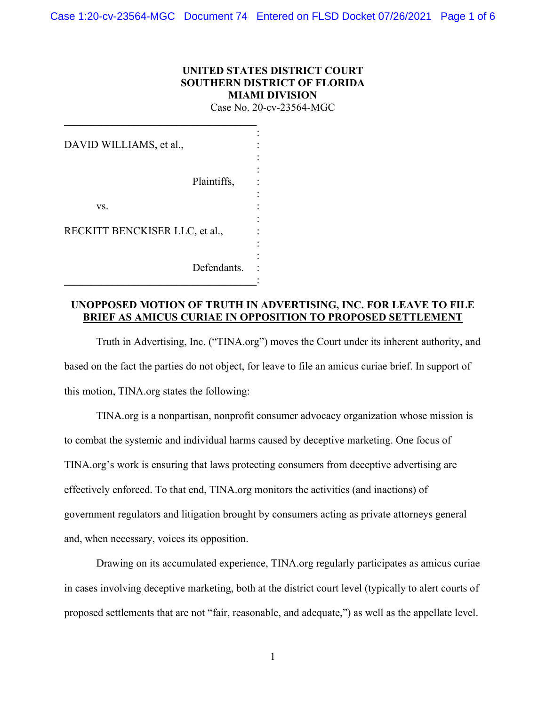## **UNITED STATES DISTRICT COURT SOUTHERN DISTRICT OF FLORIDA MIAMI DIVISION**

Case No. 20-cv-23564-MGC

| DAVID WILLIAMS, et al.,        |             |
|--------------------------------|-------------|
|                                |             |
| Plaintiffs,                    |             |
| VS.                            |             |
|                                |             |
| RECKITT BENCKISER LLC, et al., |             |
|                                |             |
|                                | Defendants. |
|                                |             |

**\_\_\_\_\_\_\_\_\_\_\_\_\_\_\_\_\_\_\_\_\_\_\_\_\_\_\_\_\_\_\_\_\_\_\_\_** 

### **UNOPPOSED MOTION OF TRUTH IN ADVERTISING, INC. FOR LEAVE TO FILE BRIEF AS AMICUS CURIAE IN OPPOSITION TO PROPOSED SETTLEMENT**

Truth in Advertising, Inc. ("TINA.org") moves the Court under its inherent authority, and based on the fact the parties do not object, for leave to file an amicus curiae brief. In support of this motion, TINA.org states the following:

TINA.org is a nonpartisan, nonprofit consumer advocacy organization whose mission is to combat the systemic and individual harms caused by deceptive marketing. One focus of TINA.org's work is ensuring that laws protecting consumers from deceptive advertising are effectively enforced. To that end, TINA.org monitors the activities (and inactions) of government regulators and litigation brought by consumers acting as private attorneys general and, when necessary, voices its opposition.

Drawing on its accumulated experience, TINA.org regularly participates as amicus curiae in cases involving deceptive marketing, both at the district court level (typically to alert courts of proposed settlements that are not "fair, reasonable, and adequate,") as well as the appellate level.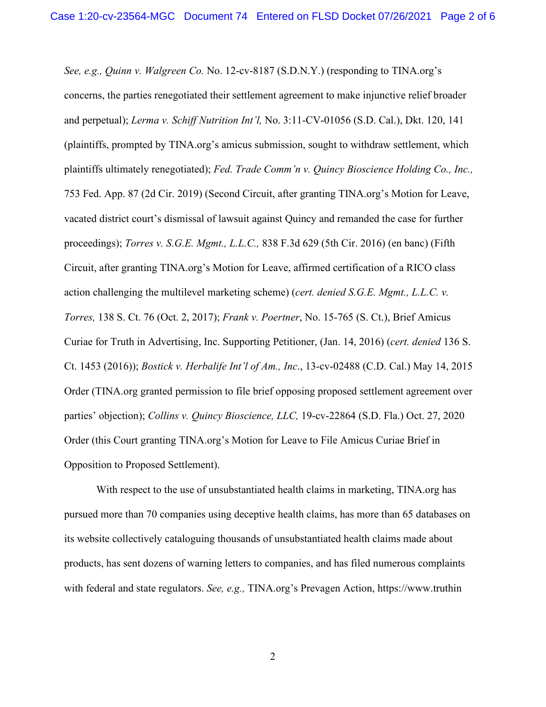*See, e.g., Quinn v. Walgreen Co.* No. 12-cv-8187 (S.D.N.Y.) (responding to TINA.org's concerns, the parties renegotiated their settlement agreement to make injunctive relief broader and perpetual); *Lerma v. Schiff Nutrition Int'l,* No. 3:11-CV-01056 (S.D. Cal.), Dkt. 120, 141 (plaintiffs, prompted by TINA.org's amicus submission, sought to withdraw settlement, which plaintiffs ultimately renegotiated); *Fed. Trade Comm'n v. Quincy Bioscience Holding Co., Inc.,*  753 Fed. App. 87 (2d Cir. 2019) (Second Circuit, after granting TINA.org's Motion for Leave, vacated district court's dismissal of lawsuit against Quincy and remanded the case for further proceedings); *Torres v. S.G.E. Mgmt., L.L.C.,* 838 F.3d 629 (5th Cir. 2016) (en banc) (Fifth Circuit, after granting TINA.org's Motion for Leave, affirmed certification of a RICO class action challenging the multilevel marketing scheme) (*cert. denied S.G.E. Mgmt., L.L.C. v. Torres,* 138 S. Ct. 76 (Oct. 2, 2017); *Frank v. Poertner*, No. 15-765 (S. Ct.), Brief Amicus Curiae for Truth in Advertising, Inc. Supporting Petitioner, (Jan. 14, 2016) (*cert. denied* 136 S. Ct. 1453 (2016)); *Bostick v. Herbalife Int'l of Am., Inc*., 13-cv-02488 (C.D. Cal.) May 14, 2015 Order (TINA.org granted permission to file brief opposing proposed settlement agreement over parties' objection); *Collins v. Quincy Bioscience, LLC,* 19-cv-22864 (S.D. Fla.) Oct. 27, 2020 Order (this Court granting TINA.org's Motion for Leave to File Amicus Curiae Brief in Opposition to Proposed Settlement).

With respect to the use of unsubstantiated health claims in marketing, TINA.org has pursued more than 70 companies using deceptive health claims, has more than 65 databases on its website collectively cataloguing thousands of unsubstantiated health claims made about products, has sent dozens of warning letters to companies, and has filed numerous complaints with federal and state regulators. *See, e.g.,* TINA.org's Prevagen Action, https://www.truthin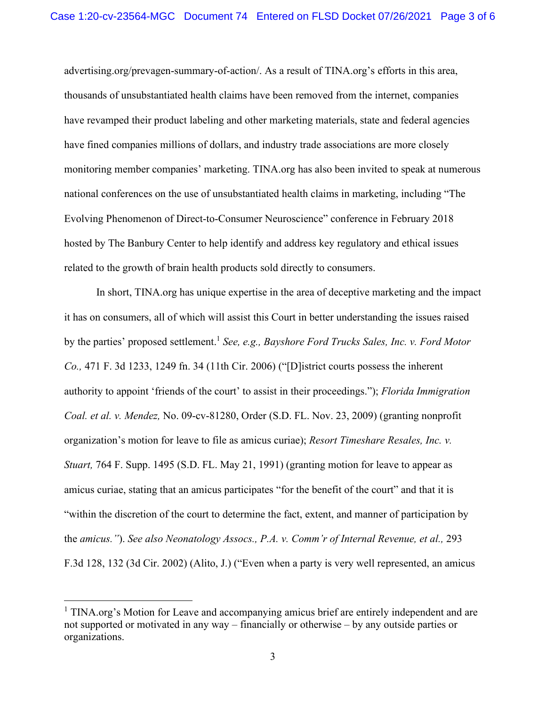advertising.org/prevagen-summary-of-action/. As a result of TINA.org's efforts in this area, thousands of unsubstantiated health claims have been removed from the internet, companies have revamped their product labeling and other marketing materials, state and federal agencies have fined companies millions of dollars, and industry trade associations are more closely monitoring member companies' marketing. TINA.org has also been invited to speak at numerous national conferences on the use of unsubstantiated health claims in marketing, including "The Evolving Phenomenon of Direct-to-Consumer Neuroscience" conference in February 2018 hosted by The Banbury Center to help identify and address key regulatory and ethical issues related to the growth of brain health products sold directly to consumers.

In short, TINA.org has unique expertise in the area of deceptive marketing and the impact it has on consumers, all of which will assist this Court in better understanding the issues raised by the parties' proposed settlement.<sup>1</sup> *See, e.g., Bayshore Ford Trucks Sales, Inc. v. Ford Motor Co.,* 471 F. 3d 1233, 1249 fn. 34 (11th Cir. 2006) ("[D]istrict courts possess the inherent authority to appoint 'friends of the court' to assist in their proceedings."); *Florida Immigration Coal. et al. v. Mendez,* No. 09-cv-81280, Order (S.D. FL. Nov. 23, 2009) (granting nonprofit organization's motion for leave to file as amicus curiae); *Resort Timeshare Resales, Inc. v. Stuart,* 764 F. Supp. 1495 (S.D. FL. May 21, 1991) (granting motion for leave to appear as amicus curiae, stating that an amicus participates "for the benefit of the court" and that it is "within the discretion of the court to determine the fact, extent, and manner of participation by the *amicus."*). *See also Neonatology Assocs., P.A. v. Comm'r of Internal Revenue, et al.,* 293 F.3d 128, 132 (3d Cir. 2002) (Alito, J.) ("Even when a party is very well represented, an amicus

<sup>&</sup>lt;sup>1</sup> TINA.org's Motion for Leave and accompanying amicus brief are entirely independent and are not supported or motivated in any way – financially or otherwise – by any outside parties or organizations.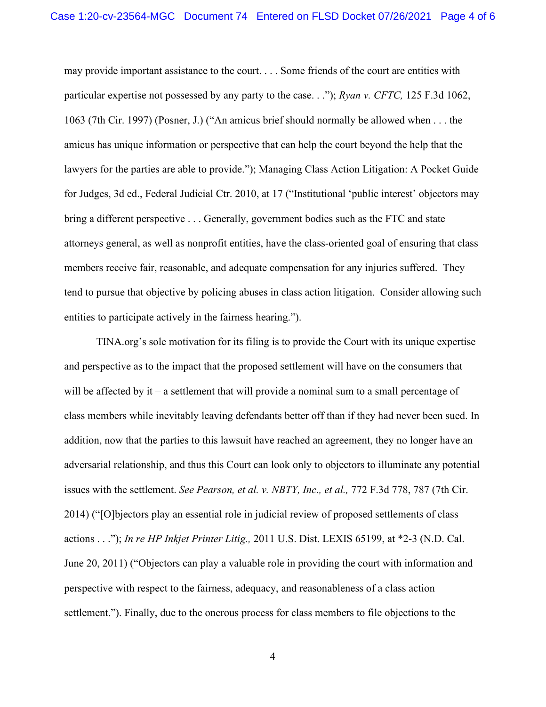may provide important assistance to the court. . . . Some friends of the court are entities with particular expertise not possessed by any party to the case. . ."); *Ryan v. CFTC,* 125 F.3d 1062, 1063 (7th Cir. 1997) (Posner, J.) ("An amicus brief should normally be allowed when . . . the amicus has unique information or perspective that can help the court beyond the help that the lawyers for the parties are able to provide."); Managing Class Action Litigation: A Pocket Guide for Judges, 3d ed., Federal Judicial Ctr. 2010, at 17 ("Institutional 'public interest' objectors may bring a different perspective . . . Generally, government bodies such as the FTC and state attorneys general, as well as nonprofit entities, have the class-oriented goal of ensuring that class members receive fair, reasonable, and adequate compensation for any injuries suffered. They tend to pursue that objective by policing abuses in class action litigation. Consider allowing such entities to participate actively in the fairness hearing.").

TINA.org's sole motivation for its filing is to provide the Court with its unique expertise and perspective as to the impact that the proposed settlement will have on the consumers that will be affected by it – a settlement that will provide a nominal sum to a small percentage of class members while inevitably leaving defendants better off than if they had never been sued. In addition, now that the parties to this lawsuit have reached an agreement, they no longer have an adversarial relationship, and thus this Court can look only to objectors to illuminate any potential issues with the settlement. *See Pearson, et al. v. NBTY, Inc., et al.,* 772 F.3d 778, 787 (7th Cir. 2014) ("[O]bjectors play an essential role in judicial review of proposed settlements of class actions . . ."); *In re HP Inkjet Printer Litig.,* 2011 U.S. Dist. LEXIS 65199, at \*2-3 (N.D. Cal. June 20, 2011) ("Objectors can play a valuable role in providing the court with information and perspective with respect to the fairness, adequacy, and reasonableness of a class action settlement."). Finally, due to the onerous process for class members to file objections to the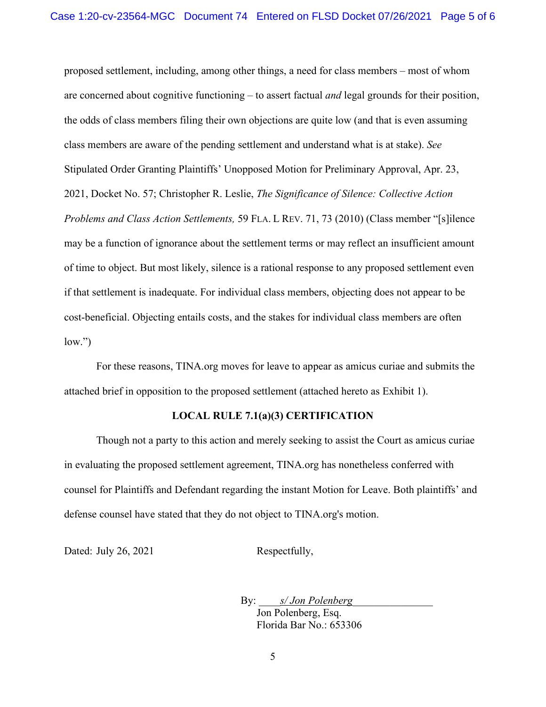proposed settlement, including, among other things, a need for class members – most of whom are concerned about cognitive functioning – to assert factual *and* legal grounds for their position, the odds of class members filing their own objections are quite low (and that is even assuming class members are aware of the pending settlement and understand what is at stake). *See*  Stipulated Order Granting Plaintiffs' Unopposed Motion for Preliminary Approval, Apr. 23, 2021, Docket No. 57; Christopher R. Leslie, *The Significance of Silence: Collective Action Problems and Class Action Settlements,* 59 FLA. L REV. 71, 73 (2010) (Class member "[s]ilence may be a function of ignorance about the settlement terms or may reflect an insufficient amount of time to object. But most likely, silence is a rational response to any proposed settlement even if that settlement is inadequate. For individual class members, objecting does not appear to be cost-beneficial. Objecting entails costs, and the stakes for individual class members are often  $low."$ 

For these reasons, TINA.org moves for leave to appear as amicus curiae and submits the attached brief in opposition to the proposed settlement (attached hereto as Exhibit 1).

#### **LOCAL RULE 7.1(a)(3) CERTIFICATION**

Though not a party to this action and merely seeking to assist the Court as amicus curiae in evaluating the proposed settlement agreement, TINA.org has nonetheless conferred with counsel for Plaintiffs and Defendant regarding the instant Motion for Leave. Both plaintiffs' and defense counsel have stated that they do not object to TINA.org's motion.

Dated: July 26, 2021 Respectfully,

By: *s/ Jon Polenberg* Jon Polenberg, Esq. Florida Bar No.: 653306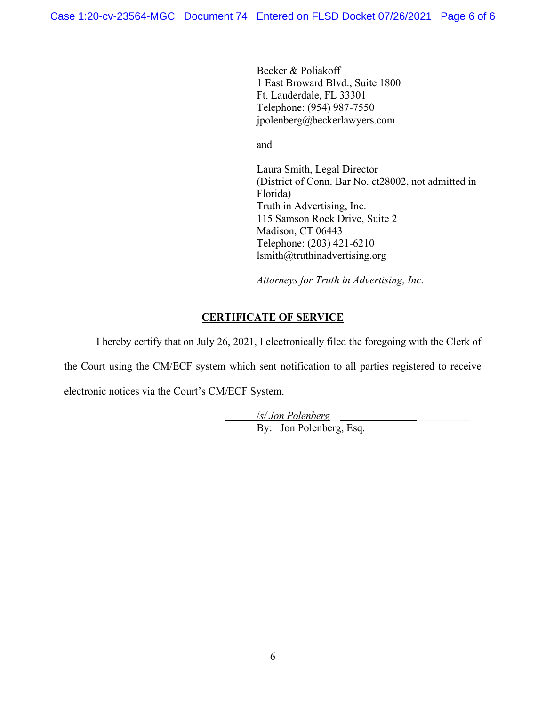Becker & Poliakoff 1 East Broward Blvd., Suite 1800 Ft. Lauderdale, FL 33301 Telephone: (954) 987-7550 jpolenberg@beckerlawyers.com

and and state of the state of the state of the state of the state of the state of the state of the state of the state of the state of the state of the state of the state of the state of the state of the state of the state

Laura Smith, Legal Director (District of Conn. Bar No. ct28002, not admitted in Florida) Truth in Advertising, Inc. 115 Samson Rock Drive, Suite 2 Madison, CT 06443 Telephone: (203) 421-6210 lsmith@truthinadvertising.org

*Attorneys for Truth in Advertising, Inc.* 

## **CERTIFICATE OF SERVICE**

I hereby certify that on July 26, 2021, I electronically filed the foregoing with the Clerk of

the Court using the CM/ECF system which sent notification to all parties registered to receive electronic notices via the Court's CM/ECF System.

> /*s/ Jon Polenberg*\_\_ \_\_\_\_\_\_\_\_\_\_ By: Jon Polenberg, Esq.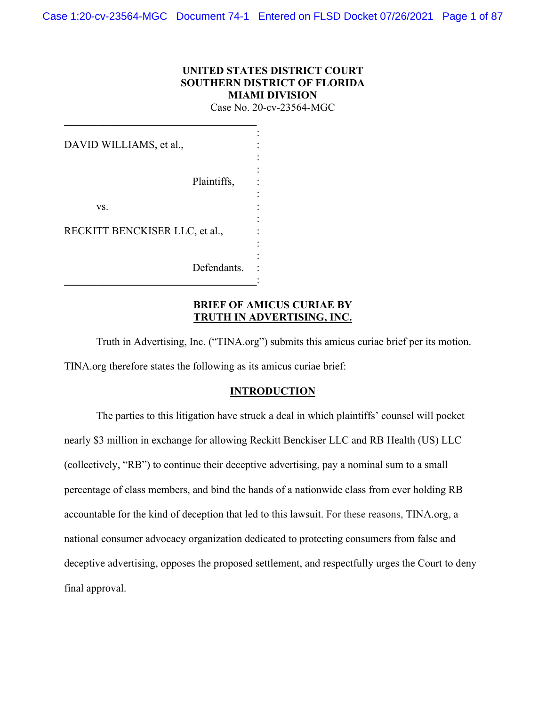## **UNITED STATES DISTRICT COURT SOUTHERN DISTRICT OF FLORIDA MIAMI DIVISION**

Case No. 20-cv-23564-MGC

| DAVID WILLIAMS, et al.,        |  |
|--------------------------------|--|
|                                |  |
| Plaintiffs,                    |  |
| VS.                            |  |
| RECKITT BENCKISER LLC, et al., |  |
|                                |  |
| Defendants.                    |  |

**\_\_\_\_\_\_\_\_\_\_\_\_\_\_\_\_\_\_\_\_\_\_\_\_\_\_\_\_\_\_\_\_\_\_\_\_** 

### **BRIEF OF AMICUS CURIAE BY TRUTH IN ADVERTISING, INC.**

Truth in Advertising, Inc. ("TINA.org") submits this amicus curiae brief per its motion. TINA.org therefore states the following as its amicus curiae brief:

#### **INTRODUCTION**

The parties to this litigation have struck a deal in which plaintiffs' counsel will pocket nearly \$3 million in exchange for allowing Reckitt Benckiser LLC and RB Health (US) LLC (collectively, "RB") to continue their deceptive advertising, pay a nominal sum to a small percentage of class members, and bind the hands of a nationwide class from ever holding RB accountable for the kind of deception that led to this lawsuit. For these reasons, TINA.org, a national consumer advocacy organization dedicated to protecting consumers from false and deceptive advertising, opposes the proposed settlement, and respectfully urges the Court to deny final approval.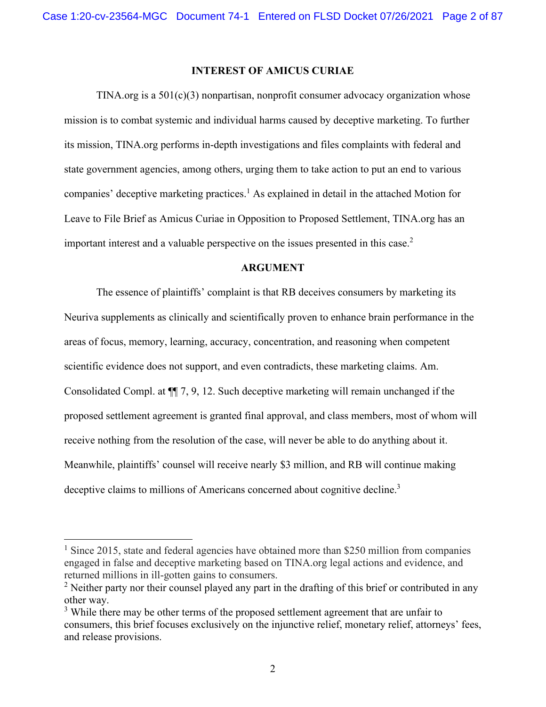### **INTEREST OF AMICUS CURIAE**

TINA.org is a  $501(c)(3)$  nonpartisan, nonprofit consumer advocacy organization whose mission is to combat systemic and individual harms caused by deceptive marketing. To further its mission, TINA.org performs in-depth investigations and files complaints with federal and state government agencies, among others, urging them to take action to put an end to various companies' deceptive marketing practices.<sup>1</sup> As explained in detail in the attached Motion for Leave to File Brief as Amicus Curiae in Opposition to Proposed Settlement, TINA.org has an important interest and a valuable perspective on the issues presented in this case.<sup>2</sup>

#### **ARGUMENT**

The essence of plaintiffs' complaint is that RB deceives consumers by marketing its Neuriva supplements as clinically and scientifically proven to enhance brain performance in the areas of focus, memory, learning, accuracy, concentration, and reasoning when competent scientific evidence does not support, and even contradicts, these marketing claims. Am. Consolidated Compl. at ¶¶ 7, 9, 12. Such deceptive marketing will remain unchanged if the proposed settlement agreement is granted final approval, and class members, most of whom will receive nothing from the resolution of the case, will never be able to do anything about it. Meanwhile, plaintiffs' counsel will receive nearly \$3 million, and RB will continue making deceptive claims to millions of Americans concerned about cognitive decline.<sup>3</sup>

 $1$  Since 2015, state and federal agencies have obtained more than \$250 million from companies engaged in false and deceptive marketing based on TINA.org legal actions and evidence, and returned millions in ill-gotten gains to consumers.

<sup>&</sup>lt;sup>2</sup> Neither party nor their counsel played any part in the drafting of this brief or contributed in any other way.

<sup>&</sup>lt;sup>3</sup> While there may be other terms of the proposed settlement agreement that are unfair to consumers, this brief focuses exclusively on the injunctive relief, monetary relief, attorneys' fees, and release provisions.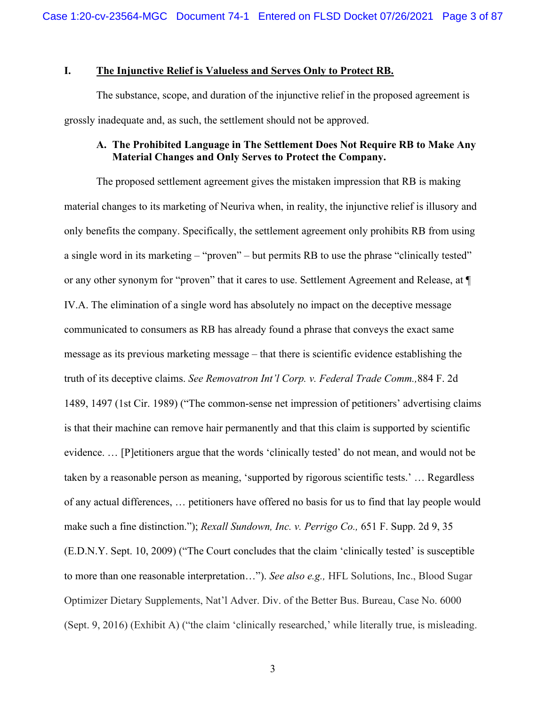### **I. The Injunctive Relief is Valueless and Serves Only to Protect RB.**

The substance, scope, and duration of the injunctive relief in the proposed agreement is grossly inadequate and, as such, the settlement should not be approved.

### **A. The Prohibited Language in The Settlement Does Not Require RB to Make Any Material Changes and Only Serves to Protect the Company.**

The proposed settlement agreement gives the mistaken impression that RB is making material changes to its marketing of Neuriva when, in reality, the injunctive relief is illusory and only benefits the company. Specifically, the settlement agreement only prohibits RB from using a single word in its marketing – "proven" – but permits RB to use the phrase "clinically tested" or any other synonym for "proven" that it cares to use. Settlement Agreement and Release, at ¶ IV.A. The elimination of a single word has absolutely no impact on the deceptive message communicated to consumers as RB has already found a phrase that conveys the exact same message as its previous marketing message – that there is scientific evidence establishing the truth of its deceptive claims. *See Removatron Int'l Corp. v. Federal Trade Comm.,*884 F. 2d 1489, 1497 (1st Cir. 1989) ("The common-sense net impression of petitioners' advertising claims is that their machine can remove hair permanently and that this claim is supported by scientific evidence. … [P]etitioners argue that the words 'clinically tested' do not mean, and would not be taken by a reasonable person as meaning, 'supported by rigorous scientific tests.' … Regardless of any actual differences, … petitioners have offered no basis for us to find that lay people would make such a fine distinction."); *Rexall Sundown, Inc. v. Perrigo Co.,* 651 F. Supp. 2d 9, 35 (E.D.N.Y. Sept. 10, 2009) ("The Court concludes that the claim 'clinically tested' is susceptible to more than one reasonable interpretation…"). *See also e.g.,* HFL Solutions, Inc., Blood Sugar Optimizer Dietary Supplements, Nat'l Adver. Div. of the Better Bus. Bureau, Case No. 6000 (Sept. 9, 2016) (Exhibit A) ("the claim 'clinically researched,' while literally true, is misleading.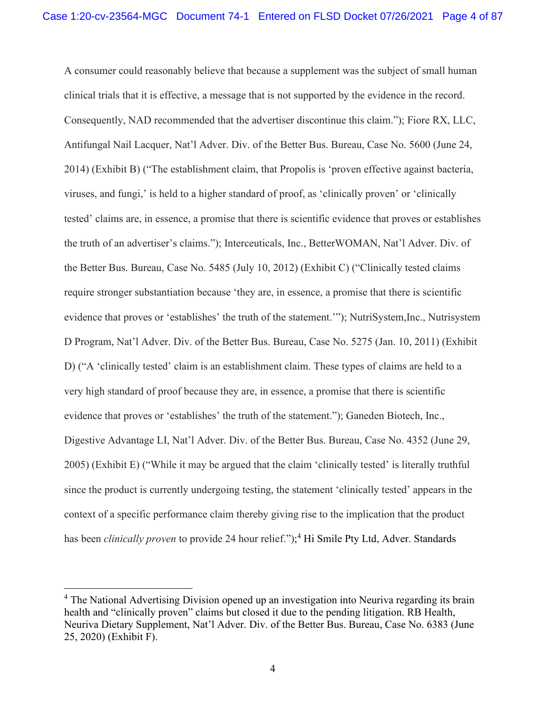A consumer could reasonably believe that because a supplement was the subject of small human clinical trials that it is effective, a message that is not supported by the evidence in the record. Consequently, NAD recommended that the advertiser discontinue this claim."); Fiore RX, LLC, Antifungal Nail Lacquer, Nat'l Adver. Div. of the Better Bus. Bureau, Case No. 5600 (June 24, 2014) (Exhibit B) ("The establishment claim, that Propolis is 'proven effective against bacteria, viruses, and fungi,' is held to a higher standard of proof, as 'clinically proven' or 'clinically tested' claims are, in essence, a promise that there is scientific evidence that proves or establishes the truth of an advertiser's claims."); Interceuticals, Inc., BetterWOMAN, Nat'l Adver. Div. of the Better Bus. Bureau, Case No. 5485 (July 10, 2012) (Exhibit C) ("Clinically tested claims require stronger substantiation because 'they are, in essence, a promise that there is scientific evidence that proves or 'establishes' the truth of the statement.'"); NutriSystem,Inc., Nutrisystem D Program, Nat'l Adver. Div. of the Better Bus. Bureau, Case No. 5275 (Jan. 10, 2011) (Exhibit D) ("A 'clinically tested' claim is an establishment claim. These types of claims are held to a very high standard of proof because they are, in essence, a promise that there is scientific evidence that proves or 'establishes' the truth of the statement."); Ganeden Biotech, Inc., Digestive Advantage LI, Nat'l Adver. Div. of the Better Bus. Bureau, Case No. 4352 (June 29, 2005) (Exhibit E) ("While it may be argued that the claim 'clinically tested' is literally truthful since the product is currently undergoing testing, the statement 'clinically tested' appears in the context of a specific performance claim thereby giving rise to the implication that the product has been *clinically proven* to provide 24 hour relief.");<sup>4</sup> Hi Smile Pty Ltd, Adver. Standards

<sup>&</sup>lt;sup>4</sup> The National Advertising Division opened up an investigation into Neuriva regarding its brain health and "clinically proven" claims but closed it due to the pending litigation. RB Health, Neuriva Dietary Supplement, Nat'l Adver. Div. of the Better Bus. Bureau, Case No. 6383 (June 25, 2020) (Exhibit F).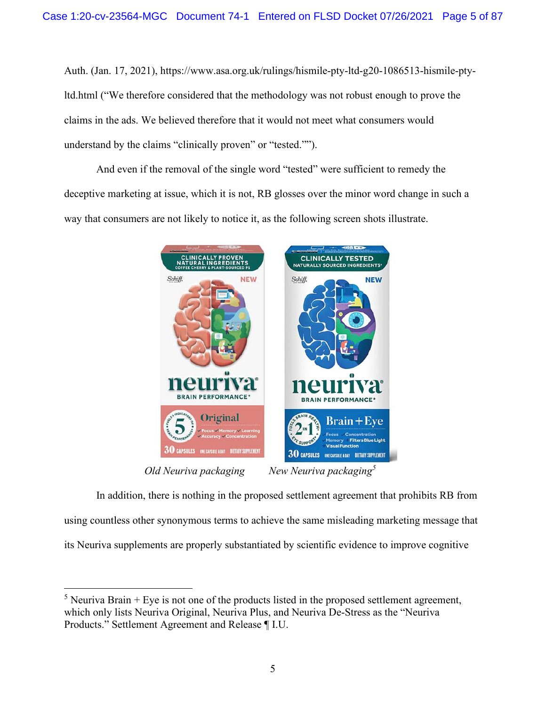Auth. (Jan. 17, 2021), https://www.asa.org.uk/rulings/hismile-pty-ltd-g20-1086513-hismile-ptyltd.html ("We therefore considered that the methodology was not robust enough to prove the claims in the ads. We believed therefore that it would not meet what consumers would understand by the claims "clinically proven" or "tested."").

And even if the removal of the single word "tested" were sufficient to remedy the deceptive marketing at issue, which it is not, RB glosses over the minor word change in such a way that consumers are not likely to notice it, as the following screen shots illustrate.



In addition, there is nothing in the proposed settlement agreement that prohibits RB from using countless other synonymous terms to achieve the same misleading marketing message that its Neuriva supplements are properly substantiated by scientific evidence to improve cognitive

<sup>&</sup>lt;sup>5</sup> Neuriva Brain + Eye is not one of the products listed in the proposed settlement agreement, which only lists Neuriva Original, Neuriva Plus, and Neuriva De-Stress as the "Neuriva Products." Settlement Agreement and Release ¶ I.U.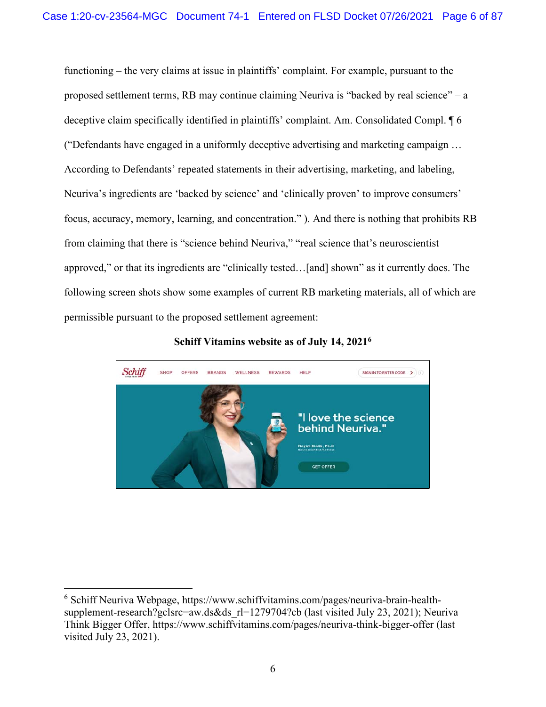functioning – the very claims at issue in plaintiffs' complaint. For example, pursuant to the proposed settlement terms, RB may continue claiming Neuriva is "backed by real science" – a deceptive claim specifically identified in plaintiffs' complaint. Am. Consolidated Compl. ¶ 6 ("Defendants have engaged in a uniformly deceptive advertising and marketing campaign … According to Defendants' repeated statements in their advertising, marketing, and labeling, Neuriva's ingredients are 'backed by science' and 'clinically proven' to improve consumers' focus, accuracy, memory, learning, and concentration." ). And there is nothing that prohibits RB from claiming that there is "science behind Neuriva," "real science that's neuroscientist approved," or that its ingredients are "clinically tested…[and] shown" as it currently does. The following screen shots show some examples of current RB marketing materials, all of which are permissible pursuant to the proposed settlement agreement:

**Schiff Vitamins website as of July 14, 20216**



<sup>&</sup>lt;sup>6</sup> Schiff Neuriva Webpage, https://www.schiffvitamins.com/pages/neuriva-brain-healthsupplement-research?gclsrc=aw.ds&ds\_rl=1279704?cb (last visited July 23, 2021); Neuriva Think Bigger Offer, https://www.schiffvitamins.com/pages/neuriva-think-bigger-offer (last visited July 23, 2021).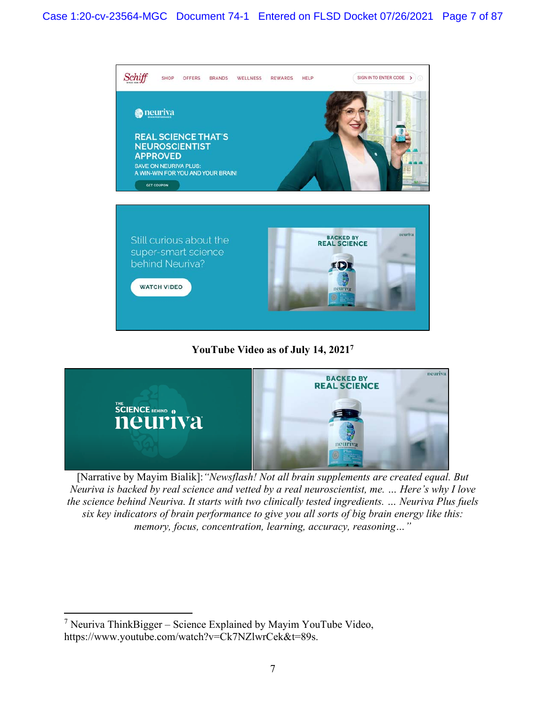

**YouTube Video as of July 14, 20217**



[Narrative by Mayim Bialik]:*"Newsflash! Not all brain supplements are created equal. But Neuriva is backed by real science and vetted by a real neuroscientist, me. … Here's why I love the science behind Neuriva. It starts with two clinically tested ingredients. … Neuriva Plus fuels six key indicators of brain performance to give you all sorts of big brain energy like this: memory, focus, concentration, learning, accuracy, reasoning…"*

 $7$  Neuriva ThinkBigger – Science Explained by Mayim YouTube Video, https://www.youtube.com/watch?v=Ck7NZlwrCek&t=89s.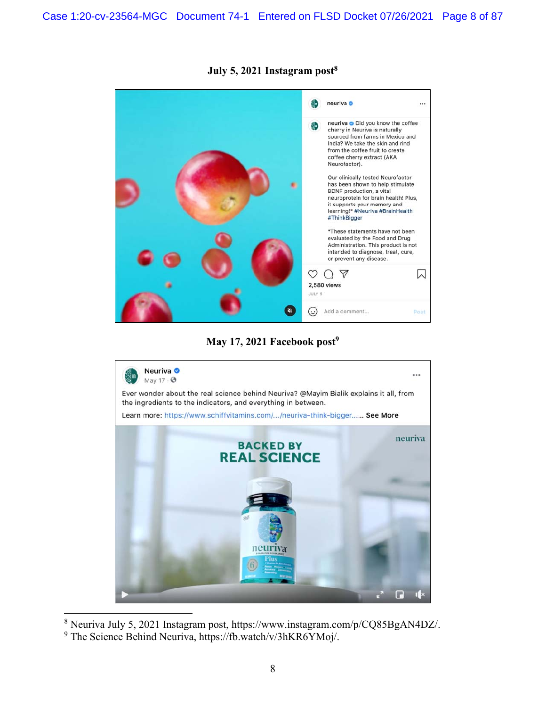

# **July 5, 2021 Instagram post8**

May 17, 2021 Facebook post<sup>9</sup>



<sup>8</sup> Neuriva July 5, 2021 Instagram post, https://www.instagram.com/p/CQ85BgAN4DZ/.

<sup>&</sup>lt;sup>9</sup> The Science Behind Neuriva, https://fb.watch/v/3hKR6YMoj/.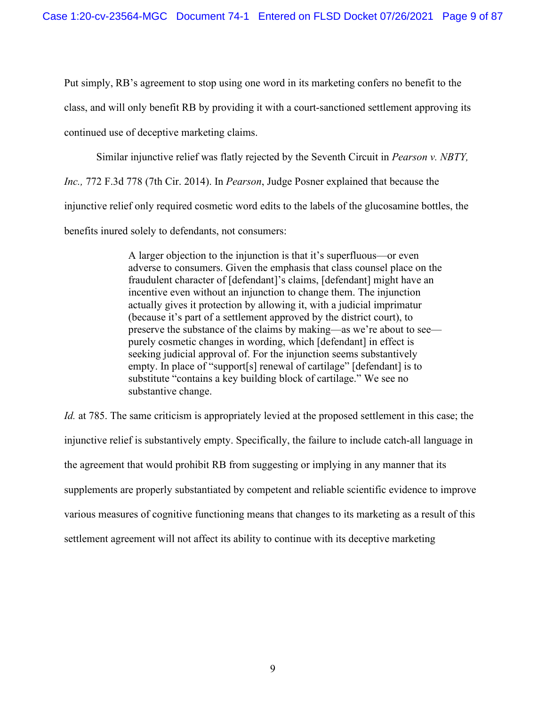Put simply, RB's agreement to stop using one word in its marketing confers no benefit to the class, and will only benefit RB by providing it with a court-sanctioned settlement approving its continued use of deceptive marketing claims.

Similar injunctive relief was flatly rejected by the Seventh Circuit in *Pearson v. NBTY, Inc.,* 772 F.3d 778 (7th Cir. 2014). In *Pearson*, Judge Posner explained that because the injunctive relief only required cosmetic word edits to the labels of the glucosamine bottles, the benefits inured solely to defendants, not consumers:

> A larger objection to the injunction is that it's superfluous—or even adverse to consumers. Given the emphasis that class counsel place on the fraudulent character of [defendant]'s claims, [defendant] might have an incentive even without an injunction to change them. The injunction actually gives it protection by allowing it, with a judicial imprimatur (because it's part of a settlement approved by the district court), to preserve the substance of the claims by making—as we're about to see purely cosmetic changes in wording, which [defendant] in effect is seeking judicial approval of. For the injunction seems substantively empty. In place of "support[s] renewal of cartilage" [defendant] is to substitute "contains a key building block of cartilage." We see no substantive change.

*Id.* at 785. The same criticism is appropriately levied at the proposed settlement in this case; the injunctive relief is substantively empty. Specifically, the failure to include catch-all language in the agreement that would prohibit RB from suggesting or implying in any manner that its supplements are properly substantiated by competent and reliable scientific evidence to improve various measures of cognitive functioning means that changes to its marketing as a result of this settlement agreement will not affect its ability to continue with its deceptive marketing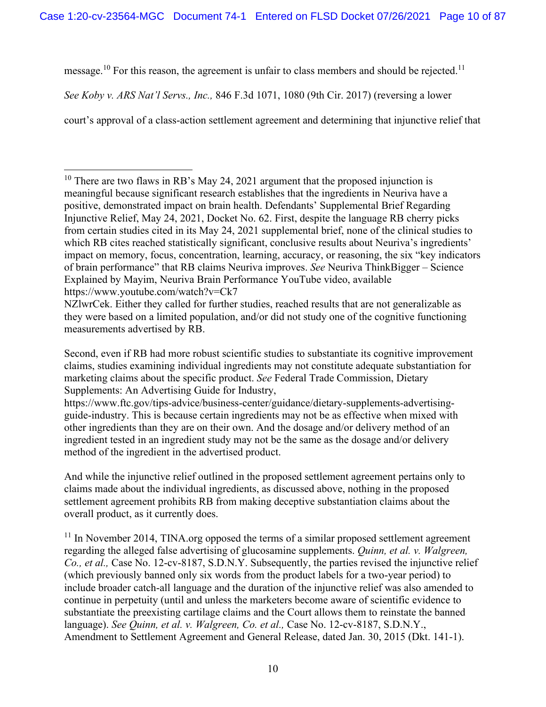message.<sup>10</sup> For this reason, the agreement is unfair to class members and should be rejected.<sup>11</sup>

*See Koby v. ARS Nat'l Servs., Inc.,* 846 F.3d 1071, 1080 (9th Cir. 2017) (reversing a lower

court's approval of a class-action settlement agreement and determining that injunctive relief that

<sup>&</sup>lt;sup>10</sup> There are two flaws in RB's May 24, 2021 argument that the proposed injunction is meaningful because significant research establishes that the ingredients in Neuriva have a positive, demonstrated impact on brain health. Defendants' Supplemental Brief Regarding Injunctive Relief, May 24, 2021, Docket No. 62. First, despite the language RB cherry picks from certain studies cited in its May 24, 2021 supplemental brief, none of the clinical studies to which RB cites reached statistically significant, conclusive results about Neuriva's ingredients' impact on memory, focus, concentration, learning, accuracy, or reasoning, the six "key indicators of brain performance" that RB claims Neuriva improves. *See* Neuriva ThinkBigger – Science Explained by Mayim, Neuriva Brain Performance YouTube video, available https://www.youtube.com/watch?v=Ck7

NZlwrCek. Either they called for further studies, reached results that are not generalizable as they were based on a limited population, and/or did not study one of the cognitive functioning measurements advertised by RB.

Second, even if RB had more robust scientific studies to substantiate its cognitive improvement claims, studies examining individual ingredients may not constitute adequate substantiation for marketing claims about the specific product. *See* Federal Trade Commission, Dietary Supplements: An Advertising Guide for Industry,

https://www.ftc.gov/tips-advice/business-center/guidance/dietary-supplements-advertisingguide-industry. This is because certain ingredients may not be as effective when mixed with other ingredients than they are on their own. And the dosage and/or delivery method of an ingredient tested in an ingredient study may not be the same as the dosage and/or delivery method of the ingredient in the advertised product.

And while the injunctive relief outlined in the proposed settlement agreement pertains only to claims made about the individual ingredients, as discussed above, nothing in the proposed settlement agreement prohibits RB from making deceptive substantiation claims about the overall product, as it currently does.

 $11$  In November 2014, TINA.org opposed the terms of a similar proposed settlement agreement regarding the alleged false advertising of glucosamine supplements. *Quinn, et al. v. Walgreen, Co., et al.,* Case No. 12-cv-8187, S.D.N.Y. Subsequently, the parties revised the injunctive relief (which previously banned only six words from the product labels for a two-year period) to include broader catch-all language and the duration of the injunctive relief was also amended to continue in perpetuity (until and unless the marketers become aware of scientific evidence to substantiate the preexisting cartilage claims and the Court allows them to reinstate the banned language). *See Quinn, et al. v. Walgreen, Co. et al.,* Case No. 12-cv-8187, S.D.N.Y., Amendment to Settlement Agreement and General Release, dated Jan. 30, 2015 (Dkt. 141-1).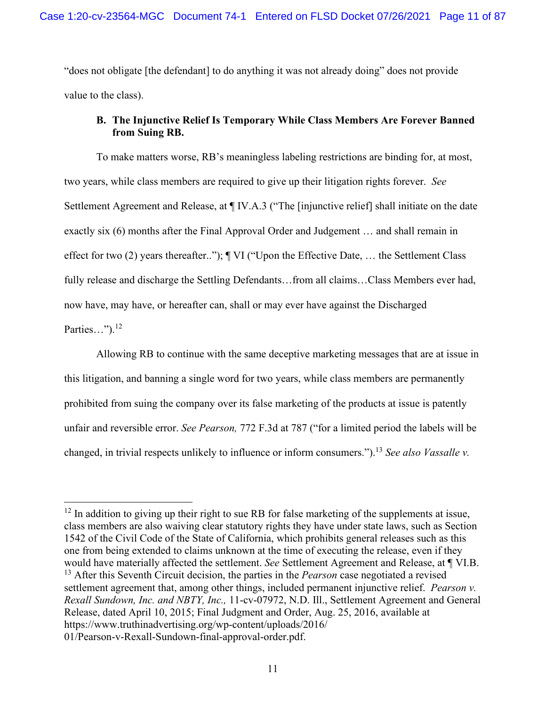"does not obligate [the defendant] to do anything it was not already doing" does not provide value to the class).

## **B. The Injunctive Relief Is Temporary While Class Members Are Forever Banned from Suing RB.**

To make matters worse, RB's meaningless labeling restrictions are binding for, at most, two years, while class members are required to give up their litigation rights forever. *See* Settlement Agreement and Release, at ¶ IV.A.3 ("The [injunctive relief] shall initiate on the date exactly six (6) months after the Final Approval Order and Judgement … and shall remain in effect for two (2) years thereafter.."); ¶ VI ("Upon the Effective Date, … the Settlement Class fully release and discharge the Settling Defendants...from all claims...Class Members ever had, now have, may have, or hereafter can, shall or may ever have against the Discharged Parties…"). $^{12}$ 

Allowing RB to continue with the same deceptive marketing messages that are at issue in this litigation, and banning a single word for two years, while class members are permanently prohibited from suing the company over its false marketing of the products at issue is patently unfair and reversible error. *See Pearson,* 772 F.3d at 787 ("for a limited period the labels will be changed, in trivial respects unlikely to influence or inform consumers.").<sup>13</sup> *See also Vassalle v.* 

<sup>&</sup>lt;sup>12</sup> In addition to giving up their right to sue RB for false marketing of the supplements at issue, class members are also waiving clear statutory rights they have under state laws, such as Section 1542 of the Civil Code of the State of California, which prohibits general releases such as this one from being extended to claims unknown at the time of executing the release, even if they would have materially affected the settlement. *See* Settlement Agreement and Release, at ¶ VI.B. 13 After this Seventh Circuit decision, the parties in the *Pearson* case negotiated a revised settlement agreement that, among other things, included permanent injunctive relief. *Pearson v. Rexall Sundown, Inc. and NBTY, Inc.,* 11-cv-07972, N.D. Ill., Settlement Agreement and General Release, dated April 10, 2015; Final Judgment and Order, Aug. 25, 2016, available at https://www.truthinadvertising.org/wp-content/uploads/2016/ 01/Pearson-v-Rexall-Sundown-final-approval-order.pdf.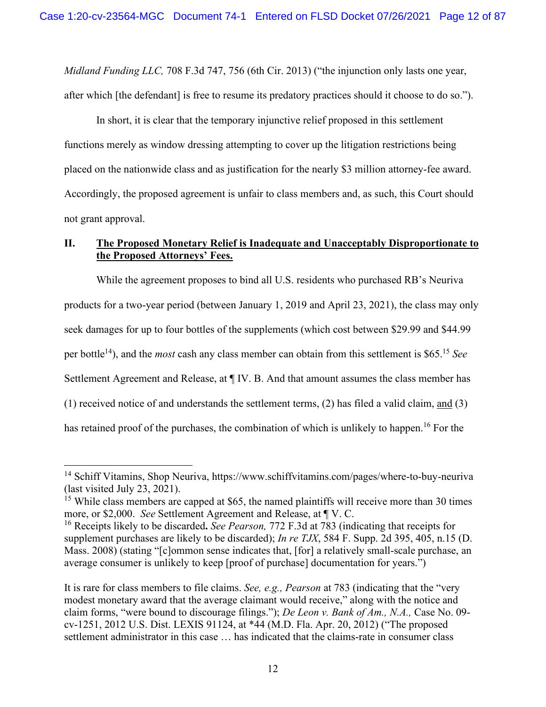*Midland Funding LLC,* 708 F.3d 747, 756 (6th Cir. 2013) ("the injunction only lasts one year, after which [the defendant] is free to resume its predatory practices should it choose to do so.").

In short, it is clear that the temporary injunctive relief proposed in this settlement functions merely as window dressing attempting to cover up the litigation restrictions being placed on the nationwide class and as justification for the nearly \$3 million attorney-fee award. Accordingly, the proposed agreement is unfair to class members and, as such, this Court should not grant approval.

# **II. The Proposed Monetary Relief is Inadequate and Unacceptably Disproportionate to the Proposed Attorneys' Fees.**

While the agreement proposes to bind all U.S. residents who purchased RB's Neuriva products for a two-year period (between January 1, 2019 and April 23, 2021), the class may only seek damages for up to four bottles of the supplements (which cost between \$29.99 and \$44.99 per bottle14), and the *most* cash any class member can obtain from this settlement is \$65.15 *See*  Settlement Agreement and Release, at ¶ IV. B. And that amount assumes the class member has (1) received notice of and understands the settlement terms, (2) has filed a valid claim, and (3) has retained proof of the purchases, the combination of which is unlikely to happen.<sup>16</sup> For the

<sup>&</sup>lt;sup>14</sup> Schiff Vitamins, Shop Neuriva, https://www.schiffvitamins.com/pages/where-to-buy-neuriva (last visited July 23, 2021).

<sup>&</sup>lt;sup>15</sup> While class members are capped at \$65, the named plaintiffs will receive more than 30 times more, or \$2,000. *See* Settlement Agreement and Release, at ¶ V. C.

<sup>16</sup> Receipts likely to be discarded**.** *See Pearson,* 772 F.3d at 783 (indicating that receipts for supplement purchases are likely to be discarded); *In re TJX*, 584 F. Supp. 2d 395, 405, n.15 (D. Mass. 2008) (stating "[c]ommon sense indicates that, [for] a relatively small-scale purchase, an average consumer is unlikely to keep [proof of purchase] documentation for years.")

It is rare for class members to file claims. *See, e.g., Pearson* at 783 (indicating that the "very modest monetary award that the average claimant would receive," along with the notice and claim forms, "were bound to discourage filings."); *De Leon v. Bank of Am., N.A.,* Case No. 09 cv-1251, 2012 U.S. Dist. LEXIS 91124, at \*44 (M.D. Fla. Apr. 20, 2012) ("The proposed settlement administrator in this case … has indicated that the claims-rate in consumer class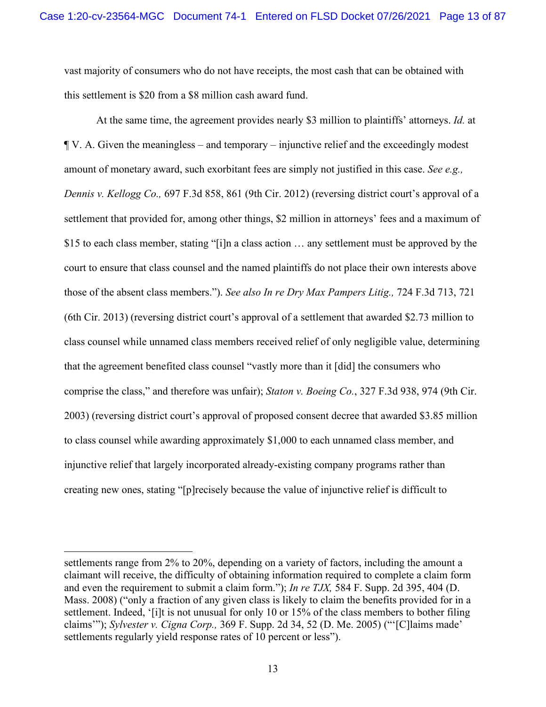vast majority of consumers who do not have receipts, the most cash that can be obtained with this settlement is \$20 from a \$8 million cash award fund.

At the same time, the agreement provides nearly \$3 million to plaintiffs' attorneys. *Id.* at ¶ V. A. Given the meaningless – and temporary – injunctive relief and the exceedingly modest amount of monetary award, such exorbitant fees are simply not justified in this case. *See e.g., Dennis v. Kellogg Co.,* 697 F.3d 858, 861 (9th Cir. 2012) (reversing district court's approval of a settlement that provided for, among other things, \$2 million in attorneys' fees and a maximum of \$15 to each class member, stating "[i]n a class action … any settlement must be approved by the court to ensure that class counsel and the named plaintiffs do not place their own interests above those of the absent class members."). *See also In re Dry Max Pampers Litig.,* 724 F.3d 713, 721 (6th Cir. 2013) (reversing district court's approval of a settlement that awarded \$2.73 million to class counsel while unnamed class members received relief of only negligible value, determining that the agreement benefited class counsel "vastly more than it [did] the consumers who comprise the class," and therefore was unfair); *Staton v. Boeing Co.*, 327 F.3d 938, 974 (9th Cir. 2003) (reversing district court's approval of proposed consent decree that awarded \$3.85 million to class counsel while awarding approximately \$1,000 to each unnamed class member, and injunctive relief that largely incorporated already-existing company programs rather than creating new ones, stating "[p]recisely because the value of injunctive relief is difficult to

settlements range from 2% to 20%, depending on a variety of factors, including the amount a claimant will receive, the difficulty of obtaining information required to complete a claim form and even the requirement to submit a claim form."); *In re TJX,* 584 F. Supp. 2d 395, 404 (D. Mass. 2008) ("only a fraction of any given class is likely to claim the benefits provided for in a settlement. Indeed, '[i]t is not unusual for only 10 or 15% of the class members to bother filing claims'"); *Sylvester v. Cigna Corp.,* 369 F. Supp. 2d 34, 52 (D. Me. 2005) ("'[C]laims made' settlements regularly yield response rates of 10 percent or less").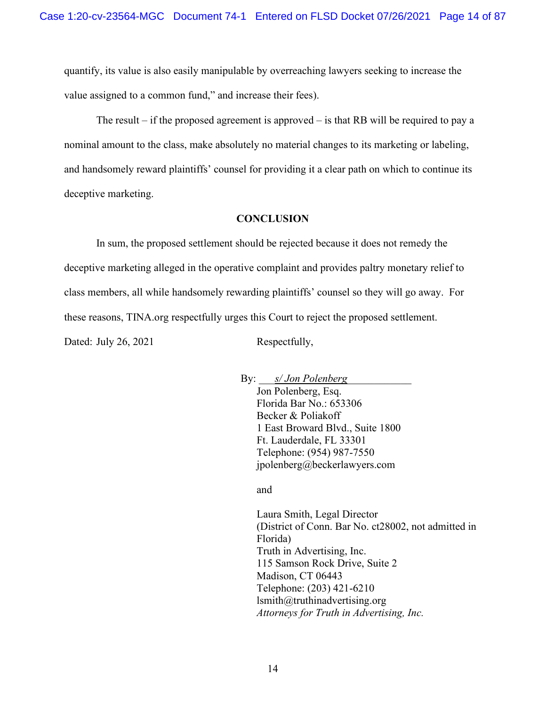quantify, its value is also easily manipulable by overreaching lawyers seeking to increase the value assigned to a common fund," and increase their fees).

The result – if the proposed agreement is approved – is that RB will be required to pay a nominal amount to the class, make absolutely no material changes to its marketing or labeling, and handsomely reward plaintiffs' counsel for providing it a clear path on which to continue its deceptive marketing.

#### **CONCLUSION**

In sum, the proposed settlement should be rejected because it does not remedy the deceptive marketing alleged in the operative complaint and provides paltry monetary relief to class members, all while handsomely rewarding plaintiffs' counsel so they will go away. For these reasons, TINA.org respectfully urges this Court to reject the proposed settlement.

Dated: July 26, 2021 Respectfully,

By: *s/ Jon Polenberg* Jon Polenberg, Esq. Florida Bar No.: 653306 Becker & Poliakoff 1 East Broward Blvd., Suite 1800 Ft. Lauderdale, FL 33301 Telephone: (954) 987-7550 jpolenberg@beckerlawyers.com

and

Laura Smith, Legal Director (District of Conn. Bar No. ct28002, not admitted in Florida) Truth in Advertising, Inc. 115 Samson Rock Drive, Suite 2 Madison, CT 06443 Telephone: (203) 421-6210 lsmith@truthinadvertising.org *Attorneys for Truth in Advertising, Inc.*